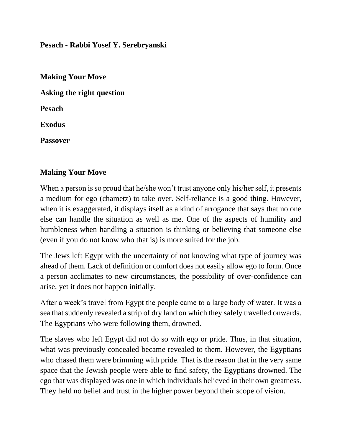**Pesach - Rabbi Yosef Y. Serebryanski**

**Making Your Move Asking the right question Pesach Exodus Passover**

### **Making Your Move**

When a person is so proud that he/she won't trust anyone only his/her self, it presents a medium for ego (chametz) to take over. Self-reliance is a good thing. However, when it is exaggerated, it displays itself as a kind of arrogance that says that no one else can handle the situation as well as me. One of the aspects of humility and humbleness when handling a situation is thinking or believing that someone else (even if you do not know who that is) is more suited for the job.

The Jews left Egypt with the uncertainty of not knowing what type of journey was ahead of them. Lack of definition or comfort does not easily allow ego to form. Once a person acclimates to new circumstances, the possibility of over-confidence can arise, yet it does not happen initially.

After a week's travel from Egypt the people came to a large body of water. It was a sea that suddenly revealed a strip of dry land on which they safely travelled onwards. The Egyptians who were following them, drowned.

The slaves who left Egypt did not do so with ego or pride. Thus, in that situation, what was previously concealed became revealed to them. However, the Egyptians who chased them were brimming with pride. That is the reason that in the very same space that the Jewish people were able to find safety, the Egyptians drowned. The ego that was displayed was one in which individuals believed in their own greatness. They held no belief and trust in the higher power beyond their scope of vision.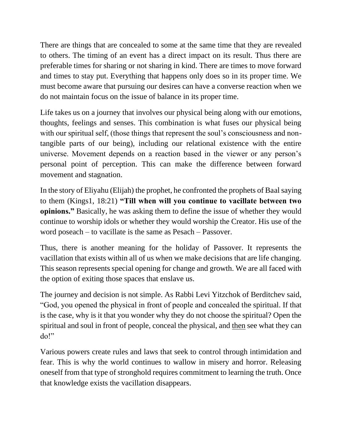There are things that are concealed to some at the same time that they are revealed to others. The timing of an event has a direct impact on its result. Thus there are preferable times for sharing or not sharing in kind. There are times to move forward and times to stay put. Everything that happens only does so in its proper time. We must become aware that pursuing our desires can have a converse reaction when we do not maintain focus on the issue of balance in its proper time.

Life takes us on a journey that involves our physical being along with our emotions, thoughts, feelings and senses. This combination is what fuses our physical being with our spiritual self, (those things that represent the soul's consciousness and nontangible parts of our being), including our relational existence with the entire universe. Movement depends on a reaction based in the viewer or any person's personal point of perception. This can make the difference between forward movement and stagnation.

In the story of Eliyahu (Elijah) the prophet, he confronted the prophets of Baal saying to them (Kings1, 18:21) **"Till when will you continue to vacillate between two opinions."** Basically, he was asking them to define the issue of whether they would continue to worship idols or whether they would worship the Creator. His use of the word poseach – to vacillate is the same as Pesach – Passover.

Thus, there is another meaning for the holiday of Passover. It represents the vacillation that exists within all of us when we make decisions that are life changing. This season represents special opening for change and growth. We are all faced with the option of exiting those spaces that enslave us.

The journey and decision is not simple. As Rabbi Levi Yitzchok of Berditchev said, "God, you opened the physical in front of people and concealed the spiritual. If that is the case, why is it that you wonder why they do not choose the spiritual? Open the spiritual and soul in front of people, conceal the physical, and then see what they can do!"

Various powers create rules and laws that seek to control through intimidation and fear. This is why the world continues to wallow in misery and horror. Releasing oneself from that type of stronghold requires commitment to learning the truth. Once that knowledge exists the vacillation disappears.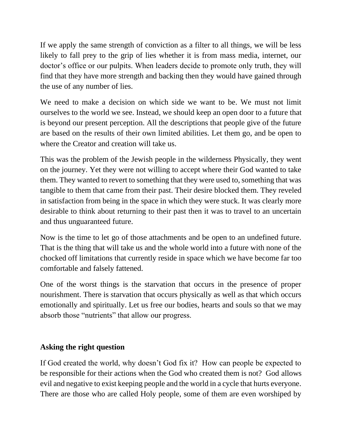If we apply the same strength of conviction as a filter to all things, we will be less likely to fall prey to the grip of lies whether it is from mass media, internet, our doctor's office or our pulpits. When leaders decide to promote only truth, they will find that they have more strength and backing then they would have gained through the use of any number of lies.

We need to make a decision on which side we want to be. We must not limit ourselves to the world we see. Instead, we should keep an open door to a future that is beyond our present perception. All the descriptions that people give of the future are based on the results of their own limited abilities. Let them go, and be open to where the Creator and creation will take us.

This was the problem of the Jewish people in the wilderness Physically, they went on the journey. Yet they were not willing to accept where their God wanted to take them. They wanted to revert to something that they were used to, something that was tangible to them that came from their past. Their desire blocked them. They reveled in satisfaction from being in the space in which they were stuck. It was clearly more desirable to think about returning to their past then it was to travel to an uncertain and thus unguaranteed future.

Now is the time to let go of those attachments and be open to an undefined future. That is the thing that will take us and the whole world into a future with none of the chocked off limitations that currently reside in space which we have become far too comfortable and falsely fattened.

One of the worst things is the starvation that occurs in the presence of proper nourishment. There is starvation that occurs physically as well as that which occurs emotionally and spiritually. Let us free our bodies, hearts and souls so that we may absorb those "nutrients" that allow our progress.

# **Asking the right question**

If God created the world, why doesn't God fix it? How can people be expected to be responsible for their actions when the God who created them is not? God allows evil and negative to exist keeping people and the world in a cycle that hurts everyone. There are those who are called Holy people, some of them are even worshiped by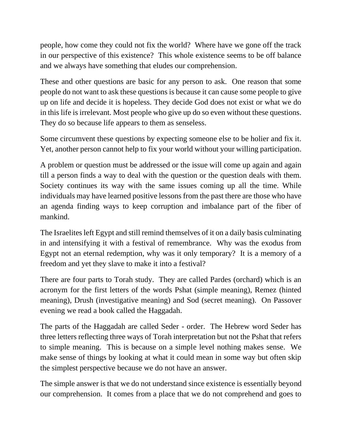people, how come they could not fix the world? Where have we gone off the track in our perspective of this existence? This whole existence seems to be off balance and we always have something that eludes our comprehension.

These and other questions are basic for any person to ask. One reason that some people do not want to ask these questions is because it can cause some people to give up on life and decide it is hopeless. They decide God does not exist or what we do in this life is irrelevant. Most people who give up do so even without these questions. They do so because life appears to them as senseless.

Some circumvent these questions by expecting someone else to be holier and fix it. Yet, another person cannot help to fix your world without your willing participation.

A problem or question must be addressed or the issue will come up again and again till a person finds a way to deal with the question or the question deals with them. Society continues its way with the same issues coming up all the time. While individuals may have learned positive lessons from the past there are those who have an agenda finding ways to keep corruption and imbalance part of the fiber of mankind.

The Israelites left Egypt and still remind themselves of it on a daily basis culminating in and intensifying it with a festival of remembrance. Why was the exodus from Egypt not an eternal redemption, why was it only temporary? It is a memory of a freedom and yet they slave to make it into a festival?

There are four parts to Torah study. They are called Pardes (orchard) which is an acronym for the first letters of the words Pshat (simple meaning), Remez (hinted meaning), Drush (investigative meaning) and Sod (secret meaning). On Passover evening we read a book called the Haggadah.

The parts of the Haggadah are called Seder - order. The Hebrew word Seder has three letters reflecting three ways of Torah interpretation but not the Pshat that refers to simple meaning. This is because on a simple level nothing makes sense. We make sense of things by looking at what it could mean in some way but often skip the simplest perspective because we do not have an answer.

The simple answer is that we do not understand since existence is essentially beyond our comprehension. It comes from a place that we do not comprehend and goes to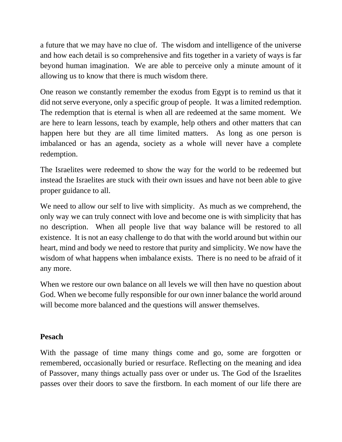a future that we may have no clue of. The wisdom and intelligence of the universe and how each detail is so comprehensive and fits together in a variety of ways is far beyond human imagination. We are able to perceive only a minute amount of it allowing us to know that there is much wisdom there.

One reason we constantly remember the exodus from Egypt is to remind us that it did not serve everyone, only a specific group of people. It was a limited redemption. The redemption that is eternal is when all are redeemed at the same moment. We are here to learn lessons, teach by example, help others and other matters that can happen here but they are all time limited matters. As long as one person is imbalanced or has an agenda, society as a whole will never have a complete redemption.

The Israelites were redeemed to show the way for the world to be redeemed but instead the Israelites are stuck with their own issues and have not been able to give proper guidance to all.

We need to allow our self to live with simplicity. As much as we comprehend, the only way we can truly connect with love and become one is with simplicity that has no description. When all people live that way balance will be restored to all existence. It is not an easy challenge to do that with the world around but within our heart, mind and body we need to restore that purity and simplicity. We now have the wisdom of what happens when imbalance exists. There is no need to be afraid of it any more.

When we restore our own balance on all levels we will then have no question about God. When we become fully responsible for our own inner balance the world around will become more balanced and the questions will answer themselves.

## **Pesach**

With the passage of time many things come and go, some are forgotten or remembered, occasionally buried or resurface. Reflecting on the meaning and idea of Passover, many things actually pass over or under us. The God of the Israelites passes over their doors to save the firstborn. In each moment of our life there are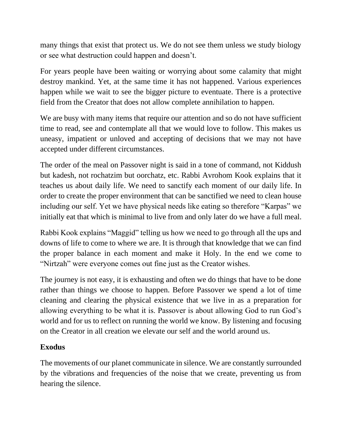many things that exist that protect us. We do not see them unless we study biology or see what destruction could happen and doesn't.

For years people have been waiting or worrying about some calamity that might destroy mankind. Yet, at the same time it has not happened. Various experiences happen while we wait to see the bigger picture to eventuate. There is a protective field from the Creator that does not allow complete annihilation to happen.

We are busy with many items that require our attention and so do not have sufficient time to read, see and contemplate all that we would love to follow. This makes us uneasy, impatient or unloved and accepting of decisions that we may not have accepted under different circumstances.

The order of the meal on Passover night is said in a tone of command, not Kiddush but kadesh, not rochatzim but oorchatz, etc. Rabbi Avrohom Kook explains that it teaches us about daily life. We need to sanctify each moment of our daily life. In order to create the proper environment that can be sanctified we need to clean house including our self. Yet we have physical needs like eating so therefore "Karpas" we initially eat that which is minimal to live from and only later do we have a full meal.

Rabbi Kook explains "Maggid" telling us how we need to go through all the ups and downs of life to come to where we are. It is through that knowledge that we can find the proper balance in each moment and make it Holy. In the end we come to "Nirtzah" were everyone comes out fine just as the Creator wishes.

The journey is not easy, it is exhausting and often we do things that have to be done rather than things we choose to happen. Before Passover we spend a lot of time cleaning and clearing the physical existence that we live in as a preparation for allowing everything to be what it is. Passover is about allowing God to run God's world and for us to reflect on running the world we know. By listening and focusing on the Creator in all creation we elevate our self and the world around us.

## **Exodus**

The movements of our planet communicate in silence. We are constantly surrounded by the vibrations and frequencies of the noise that we create, preventing us from hearing the silence.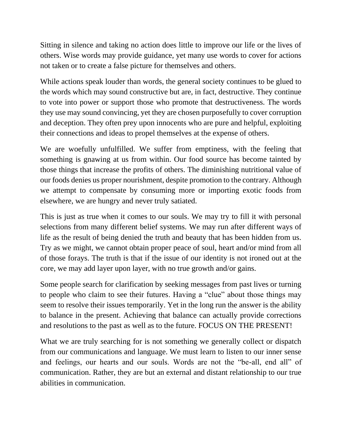Sitting in silence and taking no action does little to improve our life or the lives of others. Wise words may provide guidance, yet many use words to cover for actions not taken or to create a false picture for themselves and others.

While actions speak louder than words, the general society continues to be glued to the words which may sound constructive but are, in fact, destructive. They continue to vote into power or support those who promote that destructiveness. The words they use may sound convincing, yet they are chosen purposefully to cover corruption and deception. They often prey upon innocents who are pure and helpful, exploiting their connections and ideas to propel themselves at the expense of others.

We are woefully unfulfilled. We suffer from emptiness, with the feeling that something is gnawing at us from within. Our food source has become tainted by those things that increase the profits of others. The diminishing nutritional value of our foods denies us proper nourishment, despite promotion to the contrary. Although we attempt to compensate by consuming more or importing exotic foods from elsewhere, we are hungry and never truly satiated.

This is just as true when it comes to our souls. We may try to fill it with personal selections from many different belief systems. We may run after different ways of life as the result of being denied the truth and beauty that has been hidden from us. Try as we might, we cannot obtain proper peace of soul, heart and/or mind from all of those forays. The truth is that if the issue of our identity is not ironed out at the core, we may add layer upon layer, with no true growth and/or gains.

Some people search for clarification by seeking messages from past lives or turning to people who claim to see their futures. Having a "clue" about those things may seem to resolve their issues temporarily. Yet in the long run the answer is the ability to balance in the present. Achieving that balance can actually provide corrections and resolutions to the past as well as to the future. FOCUS ON THE PRESENT!

What we are truly searching for is not something we generally collect or dispatch from our communications and language. We must learn to listen to our inner sense and feelings, our hearts and our souls. Words are not the "be-all, end all" of communication. Rather, they are but an external and distant relationship to our true abilities in communication.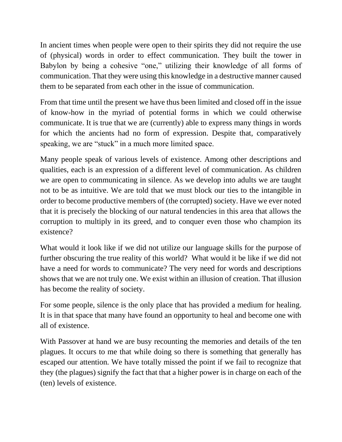In ancient times when people were open to their spirits they did not require the use of (physical) words in order to effect communication. They built the tower in Babylon by being a cohesive "one," utilizing their knowledge of all forms of communication. That they were using this knowledge in a destructive manner caused them to be separated from each other in the issue of communication.

From that time until the present we have thus been limited and closed off in the issue of know-how in the myriad of potential forms in which we could otherwise communicate. It is true that we are (currently) able to express many things in words for which the ancients had no form of expression. Despite that, comparatively speaking, we are "stuck" in a much more limited space.

Many people speak of various levels of existence. Among other descriptions and qualities, each is an expression of a different level of communication. As children we are open to communicating in silence. As we develop into adults we are taught not to be as intuitive. We are told that we must block our ties to the intangible in order to become productive members of (the corrupted) society. Have we ever noted that it is precisely the blocking of our natural tendencies in this area that allows the corruption to multiply in its greed, and to conquer even those who champion its existence?

What would it look like if we did not utilize our language skills for the purpose of further obscuring the true reality of this world? What would it be like if we did not have a need for words to communicate? The very need for words and descriptions shows that we are not truly one. We exist within an illusion of creation. That illusion has become the reality of society.

For some people, silence is the only place that has provided a medium for healing. It is in that space that many have found an opportunity to heal and become one with all of existence.

With Passover at hand we are busy recounting the memories and details of the ten plagues. It occurs to me that while doing so there is something that generally has escaped our attention. We have totally missed the point if we fail to recognize that they (the plagues) signify the fact that that a higher power is in charge on each of the (ten) levels of existence.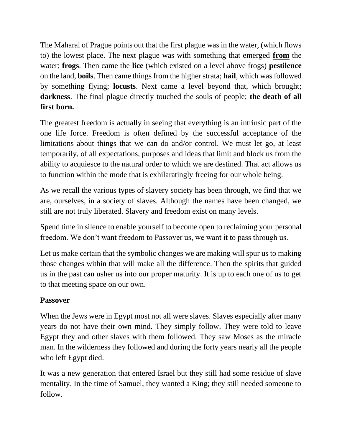The Maharal of Prague points out that the first plague was in the water, (which flows to) the lowest place. The next plague was with something that emerged **from** the water; **frogs**. Then came the **lice** (which existed on a level above frogs) **pestilence** on the land, **boils**. Then came things from the higher strata; **hail**, which was followed by something flying; **locusts**. Next came a level beyond that, which brought; **darkness**. The final plague directly touched the souls of people; **the death of all first born.**

The greatest freedom is actually in seeing that everything is an intrinsic part of the one life force. Freedom is often defined by the successful acceptance of the limitations about things that we can do and/or control. We must let go, at least temporarily, of all expectations, purposes and ideas that limit and block us from the ability to acquiesce to the natural order to which we are destined. That act allows us to function within the mode that is exhilaratingly freeing for our whole being.

As we recall the various types of slavery society has been through, we find that we are, ourselves, in a society of slaves. Although the names have been changed, we still are not truly liberated. Slavery and freedom exist on many levels.

Spend time in silence to enable yourself to become open to reclaiming your personal freedom. We don't want freedom to Passover us, we want it to pass through us.

Let us make certain that the symbolic changes we are making will spur us to making those changes within that will make all the difference. Then the spirits that guided us in the past can usher us into our proper maturity. It is up to each one of us to get to that meeting space on our own.

## **Passover**

When the Jews were in Egypt most not all were slaves. Slaves especially after many years do not have their own mind. They simply follow. They were told to leave Egypt they and other slaves with them followed. They saw Moses as the miracle man. In the wilderness they followed and during the forty years nearly all the people who left Egypt died.

It was a new generation that entered Israel but they still had some residue of slave mentality. In the time of Samuel, they wanted a King; they still needed someone to follow.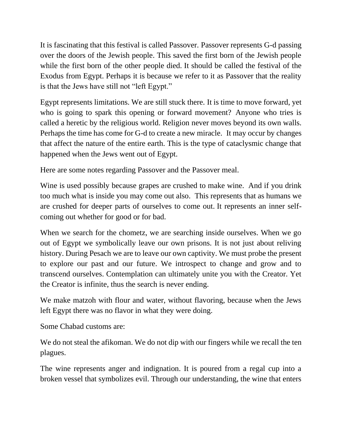It is fascinating that this festival is called Passover. Passover represents G-d passing over the doors of the Jewish people. This saved the first born of the Jewish people while the first born of the other people died. It should be called the festival of the Exodus from Egypt. Perhaps it is because we refer to it as Passover that the reality is that the Jews have still not "left Egypt."

Egypt represents limitations. We are still stuck there. It is time to move forward, yet who is going to spark this opening or forward movement? Anyone who tries is called a heretic by the religious world. Religion never moves beyond its own walls. Perhaps the time has come for G-d to create a new miracle. It may occur by changes that affect the nature of the entire earth. This is the type of cataclysmic change that happened when the Jews went out of Egypt.

Here are some notes regarding Passover and the Passover meal.

Wine is used possibly because grapes are crushed to make wine. And if you drink too much what is inside you may come out also. This represents that as humans we are crushed for deeper parts of ourselves to come out. It represents an inner selfcoming out whether for good or for bad.

When we search for the chometz, we are searching inside ourselves. When we go out of Egypt we symbolically leave our own prisons. It is not just about reliving history. During Pesach we are to leave our own captivity. We must probe the present to explore our past and our future. We introspect to change and grow and to transcend ourselves. Contemplation can ultimately unite you with the Creator. Yet the Creator is infinite, thus the search is never ending.

We make matzoh with flour and water, without flavoring, because when the Jews left Egypt there was no flavor in what they were doing.

Some Chabad customs are:

We do not steal the afikoman. We do not dip with our fingers while we recall the ten plagues.

The wine represents anger and indignation. It is poured from a regal cup into a broken vessel that symbolizes evil. Through our understanding, the wine that enters